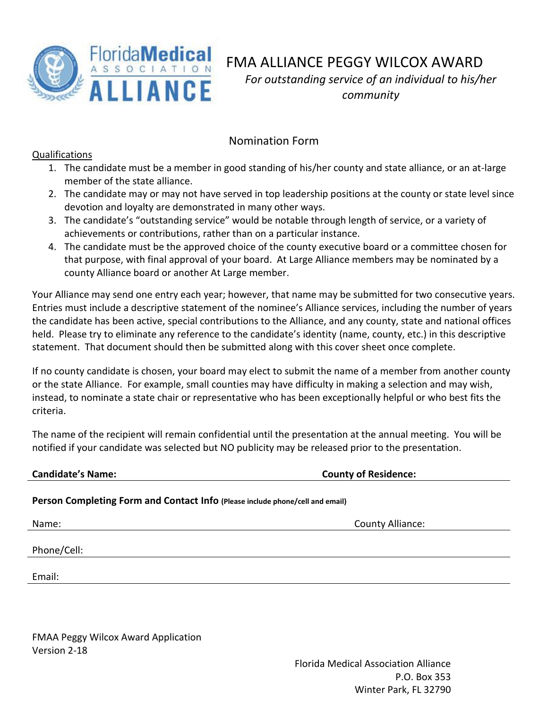

FMA ALLIANCE PEGGY WILCOX AWARD *For outstanding service of an individual to his/her community*

## Nomination Form

## Qualifications

- 1. The candidate must be a member in good standing of his/her county and state alliance, or an at-large member of the state alliance.
- 2. The candidate may or may not have served in top leadership positions at the county or state level since devotion and loyalty are demonstrated in many other ways.
- 3. The candidate's "outstanding service" would be notable through length of service, or a variety of achievements or contributions, rather than on a particular instance.
- 4. The candidate must be the approved choice of the county executive board or a committee chosen for that purpose, with final approval of your board. At Large Alliance members may be nominated by a county Alliance board or another At Large member.

Your Alliance may send one entry each year; however, that name may be submitted for two consecutive years. Entries must include a descriptive statement of the nominee's Alliance services, including the number of years the candidate has been active, special contributions to the Alliance, and any county, state and national offices held. Please try to eliminate any reference to the candidate's identity (name, county, etc.) in this descriptive statement. That document should then be submitted along with this cover sheet once complete.

If no county candidate is chosen, your board may elect to submit the name of a member from another county or the state Alliance. For example, small counties may have difficulty in making a selection and may wish, instead, to nominate a state chair or representative who has been exceptionally helpful or who best fits the criteria.

The name of the recipient will remain confidential until the presentation at the annual meeting. You will be notified if your candidate was selected but NO publicity may be released prior to the presentation.

## **Candidate's Name: County of Residence:**

## **Person Completing Form and Contact Info (Please include phone/cell and email)**

Name: County Alliance:

Phone/Cell:

Email:

FMAA Peggy Wilcox Award Application Version 2-18

> Florida Medical Association Alliance P.O. Box 353 Winter Park, FL 32790